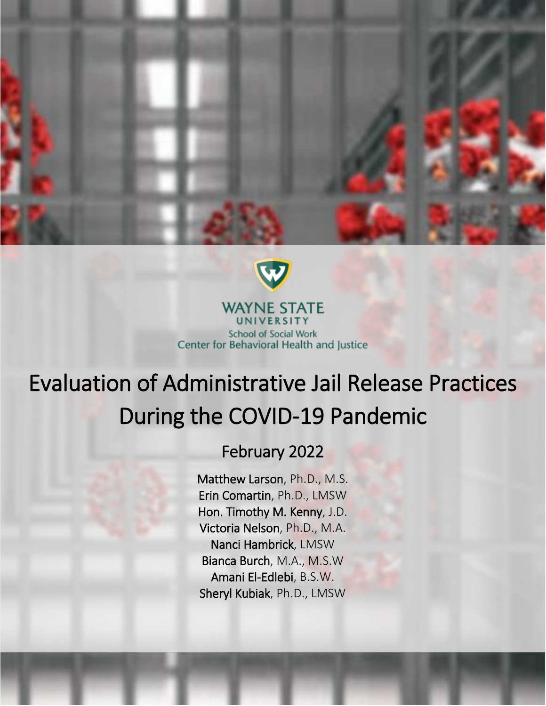



### **WAYNE STATE** UNIVERSITY **School of Social Work** Center for Behavioral Health and Justice

# Evaluation of Administrative Jail Release Practices During the COVID-19 Pandemic

## February 2022

Matthew Larson, Ph.D., M.S. Erin Comartin, Ph.D., LMSW Hon. Timothy M. Kenny, J.D. Victoria Nelson, Ph.D., M.A. Nanci Hambrick, LMSW Bianca Burch, M.A., M.S.W Amani El-Edlebi, B.S.W. Sheryl Kubiak, Ph.D., LMSW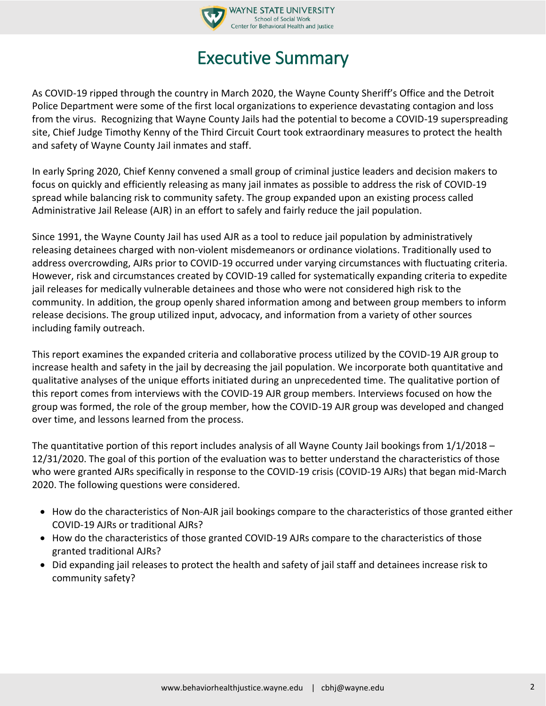

# Executive Summary

As COVID-19 ripped through the country in March 2020, the Wayne County Sheriff's Office and the Detroit Police Department were some of the first local organizations to experience devastating contagion and loss from the virus. Recognizing that Wayne County Jails had the potential to become a COVID-19 superspreading site, Chief Judge Timothy Kenny of the Third Circuit Court took extraordinary measures to protect the health and safety of Wayne County Jail inmates and staff.

In early Spring 2020, Chief Kenny convened a small group of criminal justice leaders and decision makers to focus on quickly and efficiently releasing as many jail inmates as possible to address the risk of COVID-19 spread while balancing risk to community safety. The group expanded upon an existing process called Administrative Jail Release (AJR) in an effort to safely and fairly reduce the jail population.

Since 1991, the Wayne County Jail has used AJR as a tool to reduce jail population by administratively releasing detainees charged with non-violent misdemeanors or ordinance violations. Traditionally used to address overcrowding, AJRs prior to COVID-19 occurred under varying circumstances with fluctuating criteria. However, risk and circumstances created by COVID-19 called for systematically expanding criteria to expedite jail releases for medically vulnerable detainees and those who were not considered high risk to the community. In addition, the group openly shared information among and between group members to inform release decisions. The group utilized input, advocacy, and information from a variety of other sources including family outreach.

This report examines the expanded criteria and collaborative process utilized by the COVID-19 AJR group to increase health and safety in the jail by decreasing the jail population. We incorporate both quantitative and qualitative analyses of the unique efforts initiated during an unprecedented time. The qualitative portion of this report comes from interviews with the COVID-19 AJR group members. Interviews focused on how the group was formed, the role of the group member, how the COVID-19 AJR group was developed and changed over time, and lessons learned from the process.

The quantitative portion of this report includes analysis of all Wayne County Jail bookings from 1/1/2018 – 12/31/2020. The goal of this portion of the evaluation was to better understand the characteristics of those who were granted AJRs specifically in response to the COVID-19 crisis (COVID-19 AJRs) that began mid-March 2020. The following questions were considered.

- How do the characteristics of Non-AJR jail bookings compare to the characteristics of those granted either COVID-19 AJRs or traditional AJRs?
- How do the characteristics of those granted COVID-19 AJRs compare to the characteristics of those granted traditional AJRs?
- Did expanding jail releases to protect the health and safety of jail staff and detainees increase risk to community safety?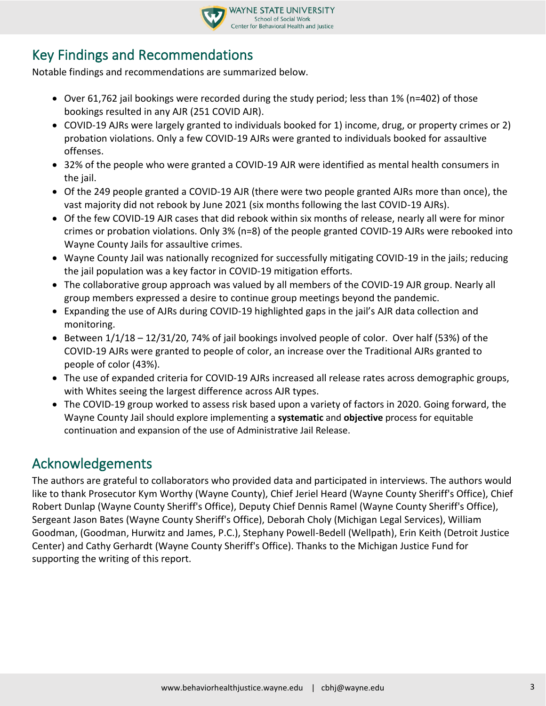

## Key Findings and Recommendations

Notable findings and recommendations are summarized below.

- Over 61,762 jail bookings were recorded during the study period; less than 1% (n=402) of those bookings resulted in any AJR (251 COVID AJR).
- COVID-19 AJRs were largely granted to individuals booked for 1) income, drug, or property crimes or 2) probation violations. Only a few COVID-19 AJRs were granted to individuals booked for assaultive offenses.
- 32% of the people who were granted a COVID-19 AJR were identified as mental health consumers in the jail.
- Of the 249 people granted a COVID-19 AJR (there were two people granted AJRs more than once), the vast majority did not rebook by June 2021 (six months following the last COVID-19 AJRs).
- Of the few COVID-19 AJR cases that did rebook within six months of release, nearly all were for minor crimes or probation violations. Only 3% (n=8) of the people granted COVID-19 AJRs were rebooked into Wayne County Jails for assaultive crimes.
- Wayne County Jail was nationally recognized for successfully mitigating COVID-19 in the jails; reducing the jail population was a key factor in COVID-19 mitigation efforts.
- The collaborative group approach was valued by all members of the COVID-19 AJR group. Nearly all group members expressed a desire to continue group meetings beyond the pandemic.
- Expanding the use of AJRs during COVID-19 highlighted gaps in the jail's AJR data collection and monitoring.
- Between 1/1/18 12/31/20, 74% of jail bookings involved people of color. Over half (53%) of the COVID-19 AJRs were granted to people of color, an increase over the Traditional AJRs granted to people of color (43%).
- The use of expanded criteria for COVID-19 AJRs increased all release rates across demographic groups, with Whites seeing the largest difference across AJR types.
- The COVID-19 group worked to assess risk based upon a variety of factors in 2020. Going forward, the Wayne County Jail should explore implementing a **systematic** and **objective** process for equitable continuation and expansion of the use of Administrative Jail Release.

## Acknowledgements

The authors are grateful to collaborators who provided data and participated in interviews. The authors would like to thank Prosecutor Kym Worthy (Wayne County), Chief Jeriel Heard (Wayne County Sheriff's Office), Chief Robert Dunlap (Wayne County Sheriff's Office), Deputy Chief Dennis Ramel (Wayne County Sheriff's Office), Sergeant Jason Bates (Wayne County Sheriff's Office), Deborah Choly (Michigan Legal Services), William Goodman, (Goodman, Hurwitz and James, P.C.), Stephany Powell-Bedell (Wellpath), Erin Keith (Detroit Justice Center) and Cathy Gerhardt (Wayne County Sheriff's Office). Thanks to the Michigan Justice Fund for supporting the writing of this report.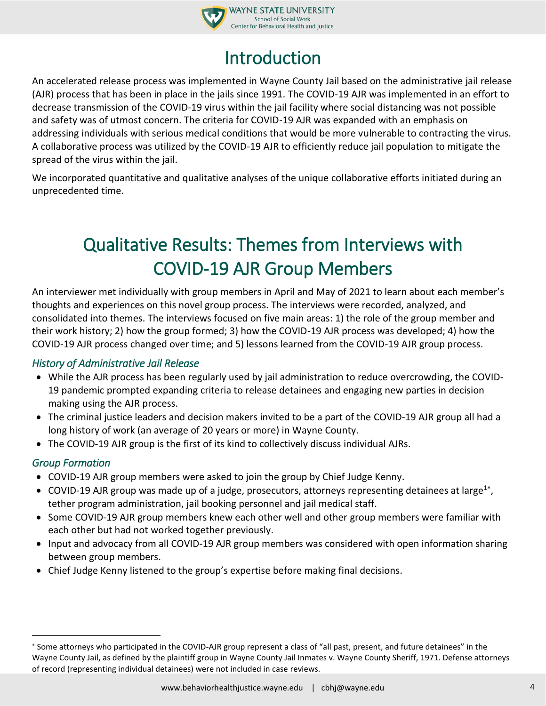

# Introduction

An accelerated release process was implemented in Wayne County Jail based on the administrative jail release (AJR) process that has been in place in the jails since 1991. The COVID-19 AJR was implemented in an effort to decrease transmission of the COVID-19 virus within the jail facility where social distancing was not possible and safety was of utmost concern. The criteria for COVID-19 AJR was expanded with an emphasis on addressing individuals with serious medical conditions that would be more vulnerable to contracting the virus. A collaborative process was utilized by the COVID-19 AJR to efficiently reduce jail population to mitigate the spread of the virus within the jail.

We incorporated quantitative and qualitative analyses of the unique collaborative efforts initiated during an unprecedented time.

# Qualitative Results: Themes from Interviews with COVID-19 AJR Group Members

An interviewer met individually with group members in April and May of 2021 to learn about each member's thoughts and experiences on this novel group process. The interviews were recorded, analyzed, and consolidated into themes. The interviews focused on five main areas: 1) the role of the group member and their work history; 2) how the group formed; 3) how the COVID-19 AJR process was developed; 4) how the COVID-19 AJR process changed over time; and 5) lessons learned from the COVID-19 AJR group process.

## *History of Administrative Jail Release*

- While the AJR process has been regularly used by jail administration to reduce overcrowding, the COVID-19 pandemic prompted expanding criteria to release detainees and engaging new parties in decision making using the AJR process.
- The criminal justice leaders and decision makers invited to be a part of the COVID-19 AJR group all had a long history of work (an average of 20 years or more) in Wayne County.
- The COVID-19 AJR group is the first of its kind to collectively discuss individual AJRs.

## *Group Formation*

 $\overline{a}$ 

- COVID-19 AJR group members were asked to join the group by Chief Judge Kenny.
- COVID-19 AJR group was made up of a judge, prosecutors, attorneys representing detainees at large<sup>1\*</sup>, tether program administration, jail booking personnel and jail medical staff.
- Some COVID-19 AJR group members knew each other well and other group members were familiar with each other but had not worked together previously.
- Input and advocacy from all COVID-19 AJR group members was considered with open information sharing between group members.
- Chief Judge Kenny listened to the group's expertise before making final decisions.

Some attorneys who participated in the COVID-AJR group represent a class of "all past, present, and future detainees" in the Wayne County Jail, as defined by the plaintiff group in Wayne County Jail Inmates v. Wayne County Sheriff, 1971. Defense attorneys of record (representing individual detainees) were not included in case reviews.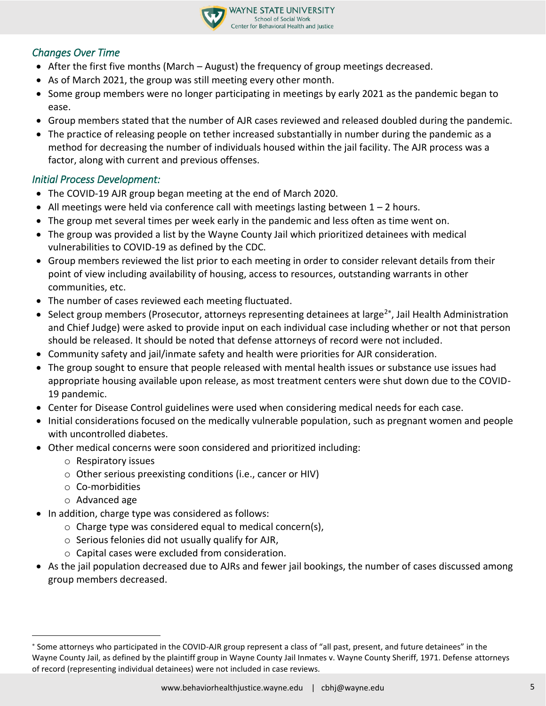

## *Changes Over Time*

- After the first five months (March August) the frequency of group meetings decreased.
- As of March 2021, the group was still meeting every other month.
- Some group members were no longer participating in meetings by early 2021 as the pandemic began to ease.
- Group members stated that the number of AJR cases reviewed and released doubled during the pandemic.
- The practice of releasing people on tether increased substantially in number during the pandemic as a method for decreasing the number of individuals housed within the jail facility. The AJR process was a factor, along with current and previous offenses.

### *Initial Process Development:*

- The COVID-19 AJR group began meeting at the end of March 2020.
- All meetings were held via conference call with meetings lasting between  $1 2$  hours.
- The group met several times per week early in the pandemic and less often as time went on.
- The group was provided a list by the Wayne County Jail which prioritized detainees with medical vulnerabilities to COVID-19 as defined by the CDC.
- Group members reviewed the list prior to each meeting in order to consider relevant details from their point of view including availability of housing, access to resources, outstanding warrants in other communities, etc.
- The number of cases reviewed each meeting fluctuated.
- Select group members (Prosecutor, attorneys representing detainees at large<sup>2\*</sup>, Jail Health Administration and Chief Judge) were asked to provide input on each individual case including whether or not that person should be released. It should be noted that defense attorneys of record were not included.
- Community safety and jail/inmate safety and health were priorities for AJR consideration.
- The group sought to ensure that people released with mental health issues or substance use issues had appropriate housing available upon release, as most treatment centers were shut down due to the COVID-19 pandemic.
- Center for Disease Control guidelines were used when considering medical needs for each case.
- Initial considerations focused on the medically vulnerable population, such as pregnant women and people with uncontrolled diabetes.
- Other medical concerns were soon considered and prioritized including:
	- o Respiratory issues
	- o Other serious preexisting conditions (i.e., cancer or HIV)
	- o Co-morbidities
	- o Advanced age

 $\overline{a}$ 

- In addition, charge type was considered as follows:
	- o Charge type was considered equal to medical concern(s),
	- o Serious felonies did not usually qualify for AJR,
	- o Capital cases were excluded from consideration.
- As the jail population decreased due to AJRs and fewer jail bookings, the number of cases discussed among group members decreased.

Some attorneys who participated in the COVID-AJR group represent a class of "all past, present, and future detainees" in the Wayne County Jail, as defined by the plaintiff group in Wayne County Jail Inmates v. Wayne County Sheriff, 1971. Defense attorneys of record (representing individual detainees) were not included in case reviews.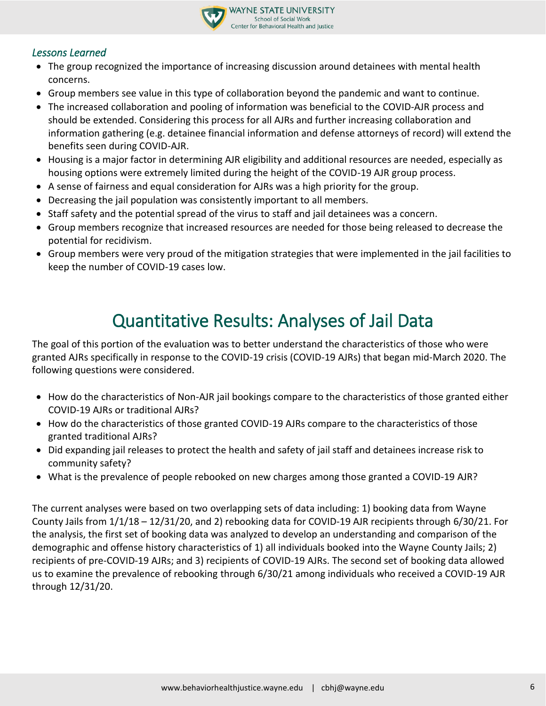

## *Lessons Learned*

- The group recognized the importance of increasing discussion around detainees with mental health concerns.
- Group members see value in this type of collaboration beyond the pandemic and want to continue.
- The increased collaboration and pooling of information was beneficial to the COVID-AJR process and should be extended. Considering this process for all AJRs and further increasing collaboration and information gathering (e.g. detainee financial information and defense attorneys of record) will extend the benefits seen during COVID-AJR.
- Housing is a major factor in determining AJR eligibility and additional resources are needed, especially as housing options were extremely limited during the height of the COVID-19 AJR group process.
- A sense of fairness and equal consideration for AJRs was a high priority for the group.
- Decreasing the jail population was consistently important to all members.
- Staff safety and the potential spread of the virus to staff and jail detainees was a concern.
- Group members recognize that increased resources are needed for those being released to decrease the potential for recidivism.
- Group members were very proud of the mitigation strategies that were implemented in the jail facilities to keep the number of COVID-19 cases low.

# Quantitative Results: Analyses of Jail Data

The goal of this portion of the evaluation was to better understand the characteristics of those who were granted AJRs specifically in response to the COVID-19 crisis (COVID-19 AJRs) that began mid-March 2020. The following questions were considered.

- How do the characteristics of Non-AJR jail bookings compare to the characteristics of those granted either COVID-19 AJRs or traditional AJRs?
- How do the characteristics of those granted COVID-19 AJRs compare to the characteristics of those granted traditional AJRs?
- Did expanding jail releases to protect the health and safety of jail staff and detainees increase risk to community safety?
- What is the prevalence of people rebooked on new charges among those granted a COVID-19 AJR?

The current analyses were based on two overlapping sets of data including: 1) booking data from Wayne County Jails from 1/1/18 – 12/31/20, and 2) rebooking data for COVID-19 AJR recipients through 6/30/21. For the analysis, the first set of booking data was analyzed to develop an understanding and comparison of the demographic and offense history characteristics of 1) all individuals booked into the Wayne County Jails; 2) recipients of pre-COVID-19 AJRs; and 3) recipients of COVID-19 AJRs. The second set of booking data allowed us to examine the prevalence of rebooking through 6/30/21 among individuals who received a COVID-19 AJR through 12/31/20.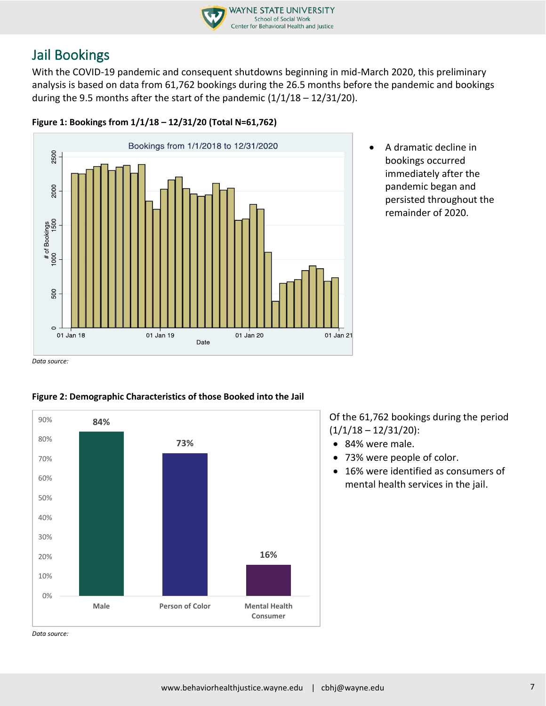

## Jail Bookings

With the COVID-19 pandemic and consequent shutdowns beginning in mid-March 2020, this preliminary analysis is based on data from 61,762 bookings during the 26.5 months before the pandemic and bookings during the 9.5 months after the start of the pandemic  $(1/1/18 - 12/31/20)$ .



**Figure 1: Bookings from 1/1/18 – 12/31/20 (Total N=61,762)**

• A dramatic decline in bookings occurred immediately after the pandemic began and persisted throughout the remainder of 2020.

Of the 61,762 bookings during the period

16% were identified as consumers of mental health services in the jail.

 $(1/1/18 - 12/31/20)$ : • 84% were male.

• 73% were people of color.

*Data source:* 



**Figure 2: Demographic Characteristics of those Booked into the Jail**

*Data source:*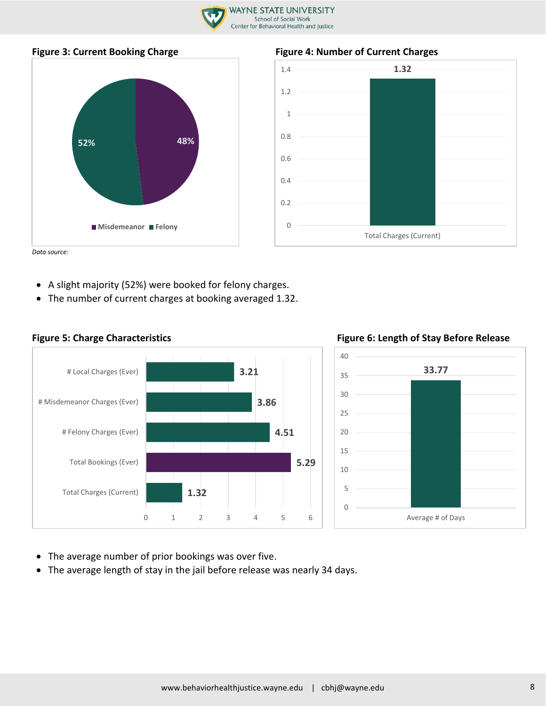





*Data source:*

- A slight majority (52%) were booked for felony charges.
- The number of current charges at booking averaged 1.32.

• The average number of prior bookings was over five.

• The average length of stay in the jail before release was nearly 34 days.



Figure 5: Charge Characteristics **Figure 6: Length of Stay Before Release**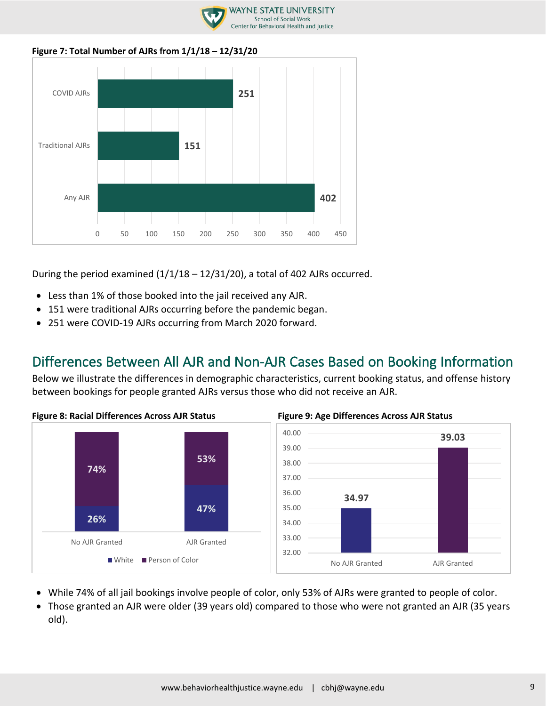

### **Figure 7: Total Number of AJRs from 1/1/18 – 12/31/20**



During the period examined  $(1/1/18 - 12/31/20)$ , a total of 402 AJRs occurred.

- Less than 1% of those booked into the jail received any AJR.
- 151 were traditional AJRs occurring before the pandemic began.
- 251 were COVID-19 AJRs occurring from March 2020 forward.

## Differences Between All AJR and Non-AJR Cases Based on Booking Information

Below we illustrate the differences in demographic characteristics, current booking status, and offense history between bookings for people granted AJRs versus those who did not receive an AJR.



- While 74% of all jail bookings involve people of color, only 53% of AJRs were granted to people of color.
- Those granted an AJR were older (39 years old) compared to those who were not granted an AJR (35 years old).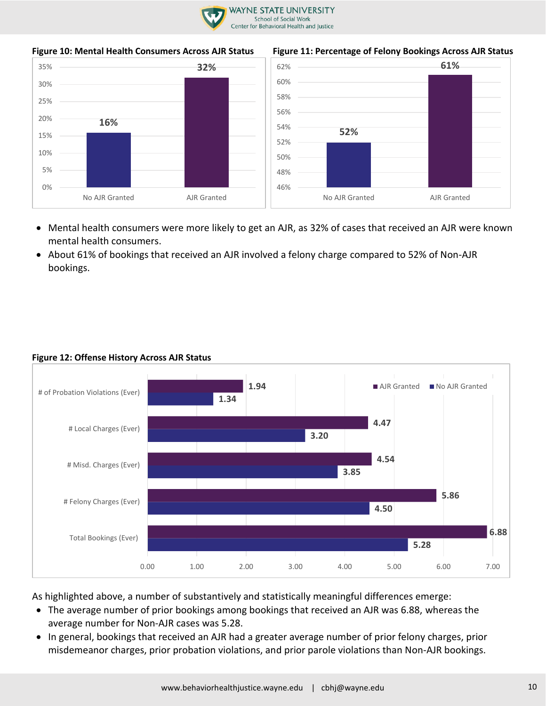



### **Figure 10: Mental Health Consumers Across AJR Status Figure 11: Percentage of Felony Bookings Across AJR Status**



- Mental health consumers were more likely to get an AJR, as 32% of cases that received an AJR were known mental health consumers.
- About 61% of bookings that received an AJR involved a felony charge compared to 52% of Non-AJR bookings.





As highlighted above, a number of substantively and statistically meaningful differences emerge:

- The average number of prior bookings among bookings that received an AJR was 6.88, whereas the average number for Non-AJR cases was 5.28.
- In general, bookings that received an AJR had a greater average number of prior felony charges, prior misdemeanor charges, prior probation violations, and prior parole violations than Non-AJR bookings.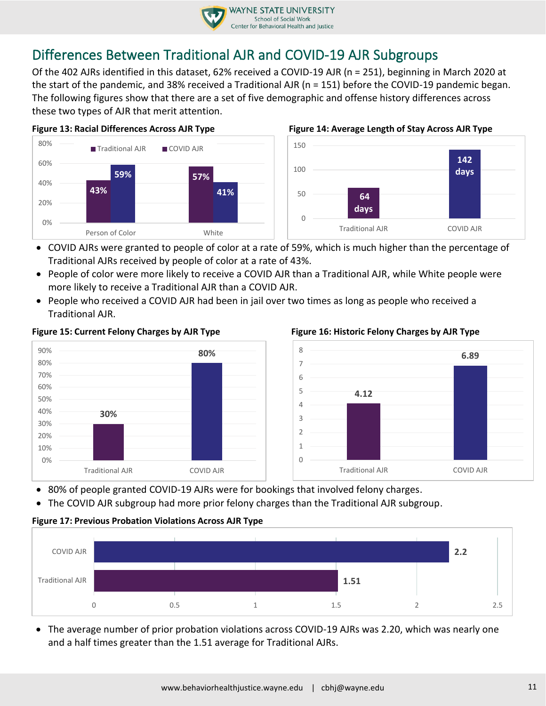

## Differences Between Traditional AJR and COVID-19 AJR Subgroups

Of the 402 AJRs identified in this dataset, 62% received a COVID-19 AJR (n = 251), beginning in March 2020 at the start of the pandemic, and 38% received a Traditional AJR (n = 151) before the COVID-19 pandemic began. The following figures show that there are a set of five demographic and offense history differences across these two types of AJR that merit attention.





### **Figure 13: Racial Differences Across AJR Type Figure 14: Average Length of Stay Across AJR Type**



- COVID AJRs were granted to people of color at a rate of 59%, which is much higher than the percentage of Traditional AJRs received by people of color at a rate of 43%.
- People of color were more likely to receive a COVID AJR than a Traditional AJR, while White people were more likely to receive a Traditional AJR than a COVID AJR.
- People who received a COVID AJR had been in jail over two times as long as people who received a Traditional AJR.



0% 10% 20% 30% 40% 50% 60% 70% 80% 90%



- 80% of people granted COVID-19 AJRs were for bookings that involved felony charges.
- The COVID AJR subgroup had more prior felony charges than the Traditional AJR subgroup.

## **Figure 17: Previous Probation Violations Across AJR Type**



• The average number of prior probation violations across COVID-19 AJRs was 2.20, which was nearly one and a half times greater than the 1.51 average for Traditional AJRs.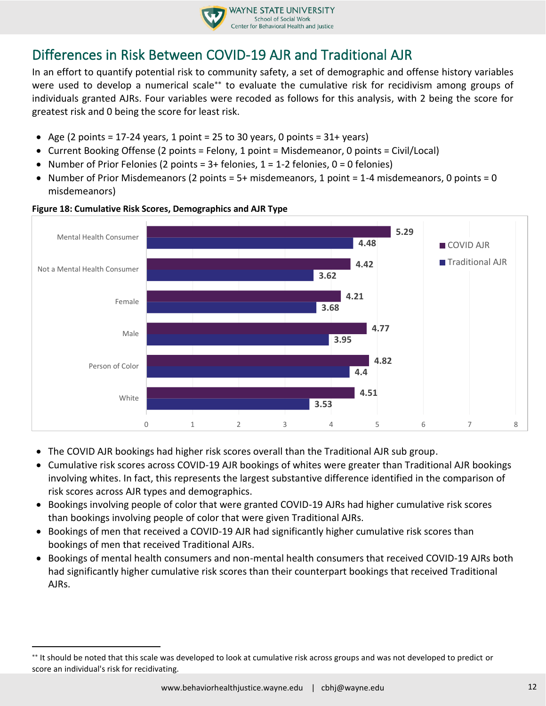

## Differences in Risk Between COVID-19 AJR and Traditional AJR

In an effort to quantify potential risk to community safety, a set of demographic and offense history variables were used to develop a numerical scale\*\* to evaluate the cumulative risk for recidivism among groups of individuals granted AJRs. Four variables were recoded as follows for this analysis, with 2 being the score for greatest risk and 0 being the score for least risk.

- Age (2 points = 17-24 years, 1 point = 25 to 30 years, 0 points =  $31+$  years)
- Current Booking Offense (2 points = Felony, 1 point = Misdemeanor, 0 points = Civil/Local)
- Number of Prior Felonies (2 points =  $3+$  felonies,  $1 = 1-2$  felonies,  $0 = 0$  felonies)
- Number of Prior Misdemeanors (2 points = 5+ misdemeanors, 1 point = 1-4 misdemeanors, 0 points = 0 misdemeanors)



### **Figure 18: Cumulative Risk Scores, Demographics and AJR Type**

 $\overline{a}$ 

- The COVID AJR bookings had higher risk scores overall than the Traditional AJR sub group.
- Cumulative risk scores across COVID-19 AJR bookings of whites were greater than Traditional AJR bookings involving whites. In fact, this represents the largest substantive difference identified in the comparison of risk scores across AJR types and demographics.
- Bookings involving people of color that were granted COVID-19 AJRs had higher cumulative risk scores than bookings involving people of color that were given Traditional AJRs.
- Bookings of men that received a COVID-19 AJR had significantly higher cumulative risk scores than bookings of men that received Traditional AJRs.
- Bookings of mental health consumers and non-mental health consumers that received COVID-19 AJRs both had significantly higher cumulative risk scores than their counterpart bookings that received Traditional AJRs.

<sup>\*\*</sup> It should be noted that this scale was developed to look at cumulative risk across groups and was not developed to predict or score an individual's risk for recidivating.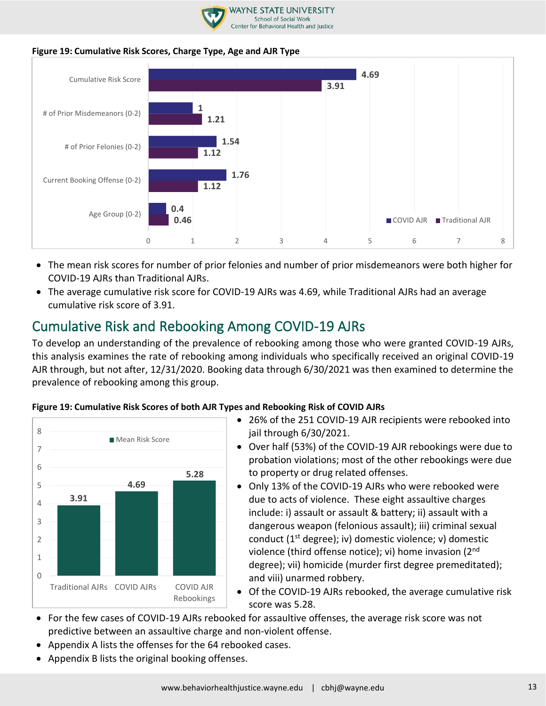

## **Figure 19: Cumulative Risk Scores, Charge Type, Age and AJR Type**



- The mean risk scores for number of prior felonies and number of prior misdemeanors were both higher for COVID-19 AJRs than Traditional AJRs.
- The average cumulative risk score for COVID-19 AJRs was 4.69, while Traditional AJRs had an average cumulative risk score of 3.91.

## Cumulative Risk and Rebooking Among COVID-19 AJRs

To develop an understanding of the prevalence of rebooking among those who were granted COVID-19 AJRs, this analysis examines the rate of rebooking among individuals who specifically received an original COVID-19 AJR through, but not after, 12/31/2020. Booking data through 6/30/2021 was then examined to determine the prevalence of rebooking among this group.

### **Figure 19: Cumulative Risk Scores of both AJR Types and Rebooking Risk of COVID AJRs**



- 26% of the 251 COVID-19 AJR recipients were rebooked into jail through 6/30/2021.
- Over half (53%) of the COVID-19 AJR rebookings were due to probation violations; most of the other rebookings were due to property or drug related offenses.
- Only 13% of the COVID-19 AJRs who were rebooked were due to acts of violence. These eight assaultive charges include: i) assault or assault & battery; ii) assault with a dangerous weapon (felonious assault); iii) criminal sexual conduct ( $1<sup>st</sup>$  degree); iv) domestic violence; v) domestic violence (third offense notice); vi) home invasion (2nd degree); vii) homicide (murder first degree premeditated); and viii) unarmed robbery.
- Of the COVID-19 AJRs rebooked, the average cumulative risk score was 5.28.
- For the few cases of COVID-19 AJRs rebooked for assaultive offenses, the average risk score was not predictive between an assaultive charge and non-violent offense.
- Appendix A lists the offenses for the 64 rebooked cases.
- Appendix B lists the original booking offenses.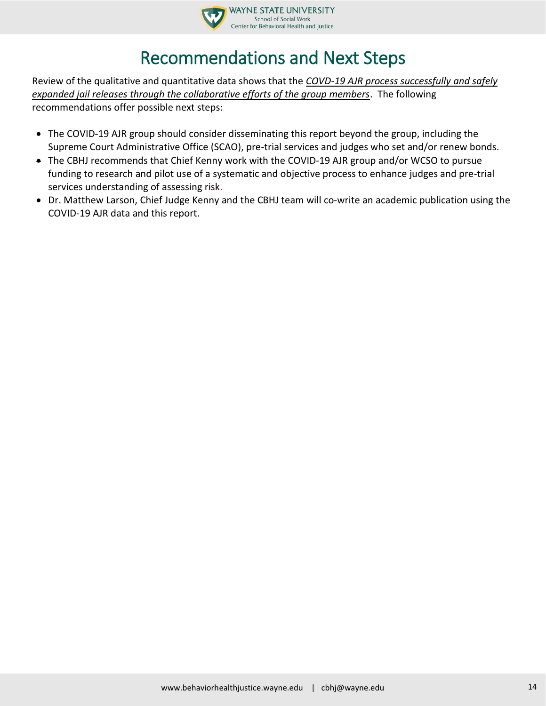

# Recommendations and Next Steps

Review of the qualitative and quantitative data shows that the *COVD-19 AJR process successfully and safely expanded jail releases through the collaborative efforts of the group members*. The following recommendations offer possible next steps:

- The COVID-19 AJR group should consider disseminating this report beyond the group, including the Supreme Court Administrative Office (SCAO), pre-trial services and judges who set and/or renew bonds.
- The CBHJ recommends that Chief Kenny work with the COVID-19 AJR group and/or WCSO to pursue funding to research and pilot use of a systematic and objective process to enhance judges and pre-trial services understanding of assessing risk.
- Dr. Matthew Larson, Chief Judge Kenny and the CBHJ team will co-write an academic publication using the COVID-19 AJR data and this report.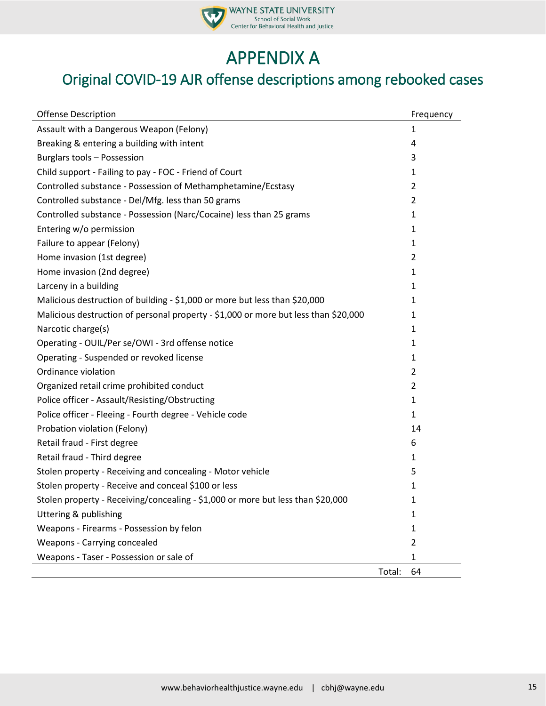

# APPENDIX A

## Original COVID-19 AJR offense descriptions among rebooked cases

| <b>Offense Description</b>                                                          |        | Frequency      |
|-------------------------------------------------------------------------------------|--------|----------------|
| Assault with a Dangerous Weapon (Felony)                                            |        | 1              |
| Breaking & entering a building with intent                                          |        | 4              |
| Burglars tools - Possession                                                         |        | 3              |
| Child support - Failing to pay - FOC - Friend of Court                              |        | 1              |
| Controlled substance - Possession of Methamphetamine/Ecstasy                        |        | $\overline{2}$ |
| Controlled substance - Del/Mfg. less than 50 grams                                  |        | $\overline{2}$ |
| Controlled substance - Possession (Narc/Cocaine) less than 25 grams                 |        | 1              |
| Entering w/o permission                                                             |        | 1              |
| Failure to appear (Felony)                                                          |        | 1              |
| Home invasion (1st degree)                                                          |        | 2              |
| Home invasion (2nd degree)                                                          |        | 1              |
| Larceny in a building                                                               |        | 1              |
| Malicious destruction of building - \$1,000 or more but less than \$20,000          |        | 1              |
| Malicious destruction of personal property - \$1,000 or more but less than \$20,000 |        | 1              |
| Narcotic charge(s)                                                                  |        | 1              |
| Operating - OUIL/Per se/OWI - 3rd offense notice                                    |        | 1              |
| Operating - Suspended or revoked license                                            |        | 1              |
| Ordinance violation                                                                 |        | 2              |
| Organized retail crime prohibited conduct                                           |        | $\overline{2}$ |
| Police officer - Assault/Resisting/Obstructing                                      |        | 1              |
| Police officer - Fleeing - Fourth degree - Vehicle code                             |        | 1              |
| Probation violation (Felony)                                                        |        | 14             |
| Retail fraud - First degree                                                         |        | 6              |
| Retail fraud - Third degree                                                         |        | 1              |
| Stolen property - Receiving and concealing - Motor vehicle                          |        | 5              |
| Stolen property - Receive and conceal \$100 or less                                 |        | 1              |
| Stolen property - Receiving/concealing - \$1,000 or more but less than \$20,000     |        | 1              |
| <b>Uttering &amp; publishing</b>                                                    |        | 1              |
| Weapons - Firearms - Possession by felon                                            |        | 1              |
| Weapons - Carrying concealed                                                        |        | $\overline{2}$ |
| Weapons - Taser - Possession or sale of                                             |        | 1              |
|                                                                                     | Total: | 64             |